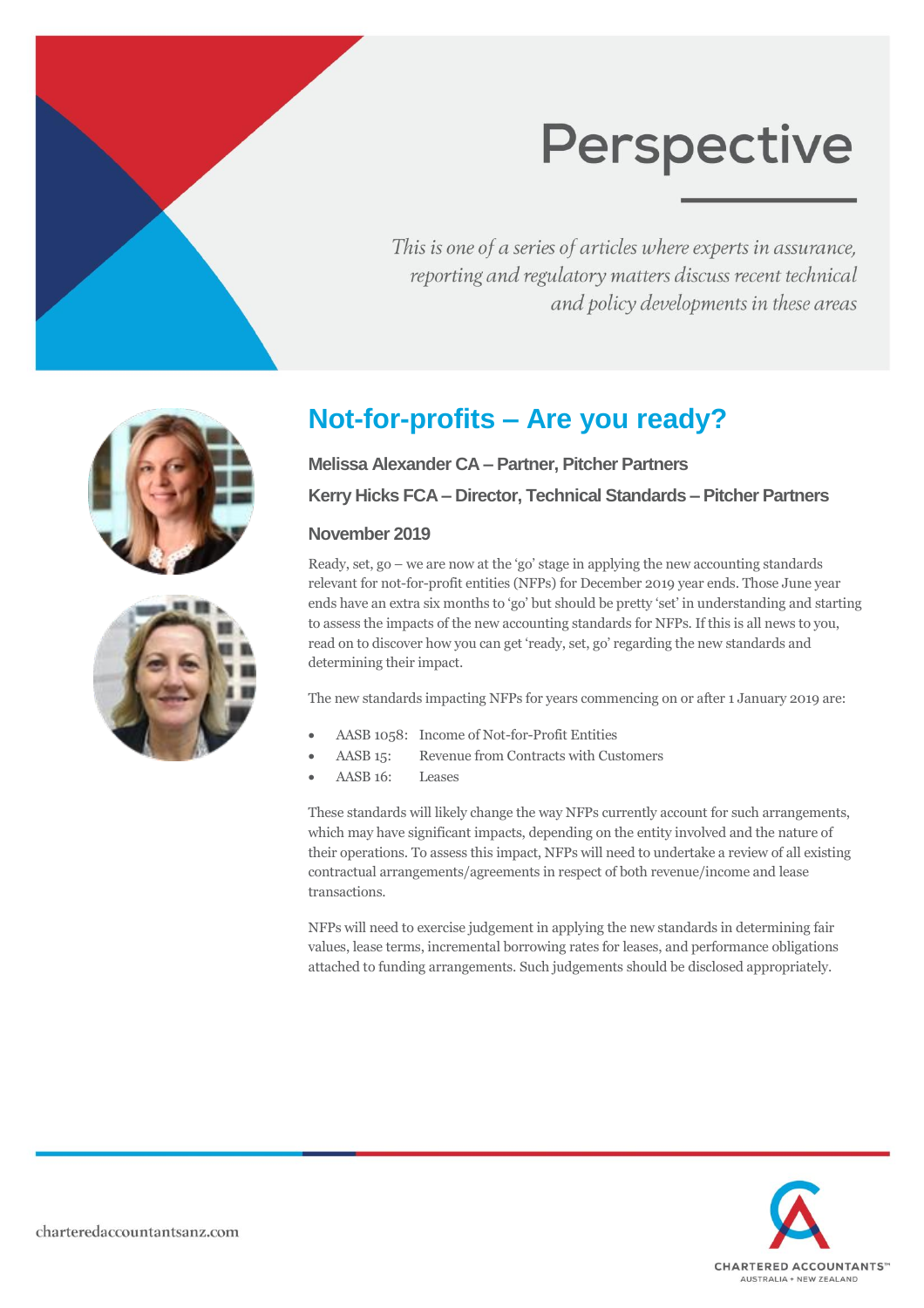This is one of a series of articles where experts in assurance, reporting and regulatory matters discuss recent technical and policy developments in these areas



## **Not-for-profits – Are you ready?**

**Melissa Alexander CA – Partner, Pitcher Partners Kerry Hicks FCA – Director, Technical Standards – Pitcher Partners**

#### **November 2019**

Ready, set, go – we are now at the 'go' stage in applying the new accounting standards relevant for not-for-profit entities (NFPs) for December 2019 year ends. Those June year ends have an extra six months to 'go' but should be pretty 'set' in understanding and starting to assess the impacts of the new accounting standards for NFPs. If this is all news to you, read on to discover how you can get 'ready, set, go' regarding the new standards and determining their impact.

The new standards impacting NFPs for years commencing on or after 1 January 2019 are:

- AASB 1058: Income of Not-for-Profit Entities
- AASB 15: Revenue from Contracts with Customers
- AASB 16: Leases

These standards will likely change the way NFPs currently account for such arrangements, which may have significant impacts, depending on the entity involved and the nature of their operations. To assess this impact, NFPs will need to undertake a review of all existing contractual arrangements/agreements in respect of both revenue/income and lease transactions.

NFPs will need to exercise judgement in applying the new standards in determining fair values, lease terms, incremental borrowing rates for leases, and performance obligations attached to funding arrangements. Such judgements should be disclosed appropriately.

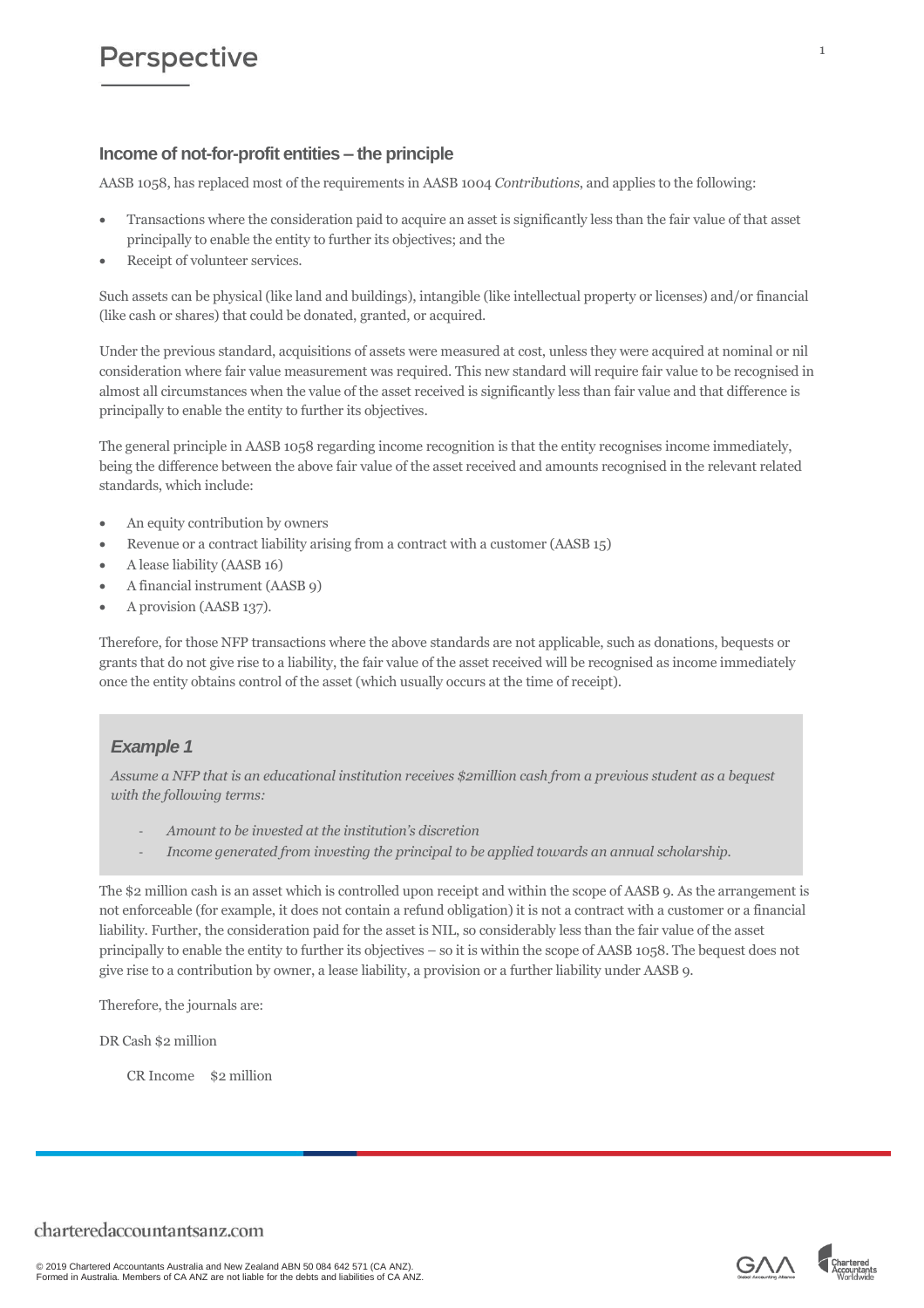#### **Income of not-for-profit entities – the principle**

AASB 1058, has replaced most of the requirements in AASB 1004 *Contributions*, and applies to the following:

- Transactions where the consideration paid to acquire an asset is significantly less than the fair value of that asset principally to enable the entity to further its objectives; and the
- Receipt of volunteer services.

Such assets can be physical (like land and buildings), intangible (like intellectual property or licenses) and/or financial (like cash or shares) that could be donated, granted, or acquired.

Under the previous standard, acquisitions of assets were measured at cost, unless they were acquired at nominal or nil consideration where fair value measurement was required. This new standard will require fair value to be recognised in almost all circumstances when the value of the asset received is significantly less than fair value and that difference is principally to enable the entity to further its objectives.

The general principle in AASB 1058 regarding income recognition is that the entity recognises income immediately, being the difference between the above fair value of the asset received and amounts recognised in the relevant related standards, which include:

- An equity contribution by owners
- Revenue or a contract liability arising from a contract with a customer (AASB 15)
- A lease liability (AASB 16)
- A financial instrument (AASB 9)
- A provision (AASB 137).

Therefore, for those NFP transactions where the above standards are not applicable, such as donations, bequests or grants that do not give rise to a liability, the fair value of the asset received will be recognised as income immediately once the entity obtains control of the asset (which usually occurs at the time of receipt).

#### *Example 1*

*Assume a NFP that is an educational institution receives \$2million cash from a previous student as a bequest with the following terms:*

- *Amount to be invested at the institution's discretion*
- *Income generated from investing the principal to be applied towards an annual scholarship.*

The \$2 million cash is an asset which is controlled upon receipt and within the scope of AASB 9. As the arrangement is not enforceable (for example, it does not contain a refund obligation) it is not a contract with a customer or a financial liability. Further, the consideration paid for the asset is NIL, so considerably less than the fair value of the asset principally to enable the entity to further its objectives – so it is within the scope of AASB 1058. The bequest does not give rise to a contribution by owner, a lease liability, a provision or a further liability under AASB 9.

Therefore, the journals are:

DR Cash \$2 million

CR Income \$2 million





1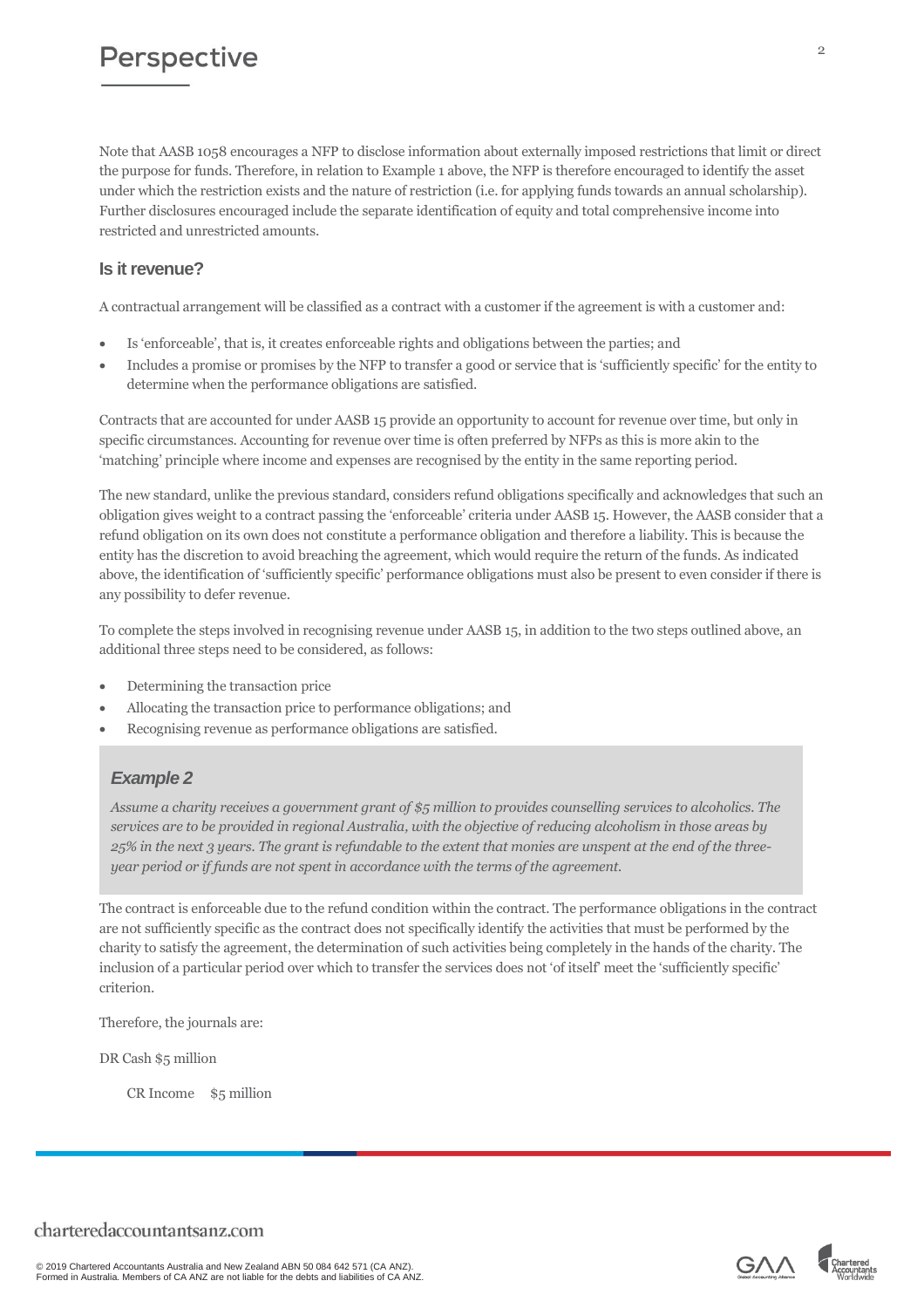Note that AASB 1058 encourages a NFP to disclose information about externally imposed restrictions that limit or direct the purpose for funds. Therefore, in relation to Example 1 above, the NFP is therefore encouraged to identify the asset under which the restriction exists and the nature of restriction (i.e. for applying funds towards an annual scholarship). Further disclosures encouraged include the separate identification of equity and total comprehensive income into restricted and unrestricted amounts.

#### **Is it revenue?**

A contractual arrangement will be classified as a contract with a customer if the agreement is with a customer and:

- Is 'enforceable', that is, it creates enforceable rights and obligations between the parties; and
- Includes a promise or promises by the NFP to transfer a good or service that is 'sufficiently specific' for the entity to determine when the performance obligations are satisfied.

Contracts that are accounted for under AASB 15 provide an opportunity to account for revenue over time, but only in specific circumstances. Accounting for revenue over time is often preferred by NFPs as this is more akin to the 'matching' principle where income and expenses are recognised by the entity in the same reporting period.

The new standard, unlike the previous standard, considers refund obligations specifically and acknowledges that such an obligation gives weight to a contract passing the 'enforceable' criteria under AASB 15. However, the AASB consider that a refund obligation on its own does not constitute a performance obligation and therefore a liability. This is because the entity has the discretion to avoid breaching the agreement, which would require the return of the funds. As indicated above, the identification of 'sufficiently specific' performance obligations must also be present to even consider if there is any possibility to defer revenue.

To complete the steps involved in recognising revenue under AASB 15, in addition to the two steps outlined above, an additional three steps need to be considered, as follows:

- Determining the transaction price
- Allocating the transaction price to performance obligations; and
- Recognising revenue as performance obligations are satisfied.

#### *Example 2*

*Assume a charity receives a government grant of \$5 million to provides counselling services to alcoholics. The services are to be provided in regional Australia, with the objective of reducing alcoholism in those areas by 25% in the next 3 years. The grant is refundable to the extent that monies are unspent at the end of the threeyear period or if funds are not spent in accordance with the terms of the agreement.*

The contract is enforceable due to the refund condition within the contract. The performance obligations in the contract are not sufficiently specific as the contract does not specifically identify the activities that must be performed by the charity to satisfy the agreement, the determination of such activities being completely in the hands of the charity. The inclusion of a particular period over which to transfer the services does not 'of itself' meet the 'sufficiently specific' criterion.

Therefore, the journals are:

DR Cash \$5 million

CR Income \$5 million

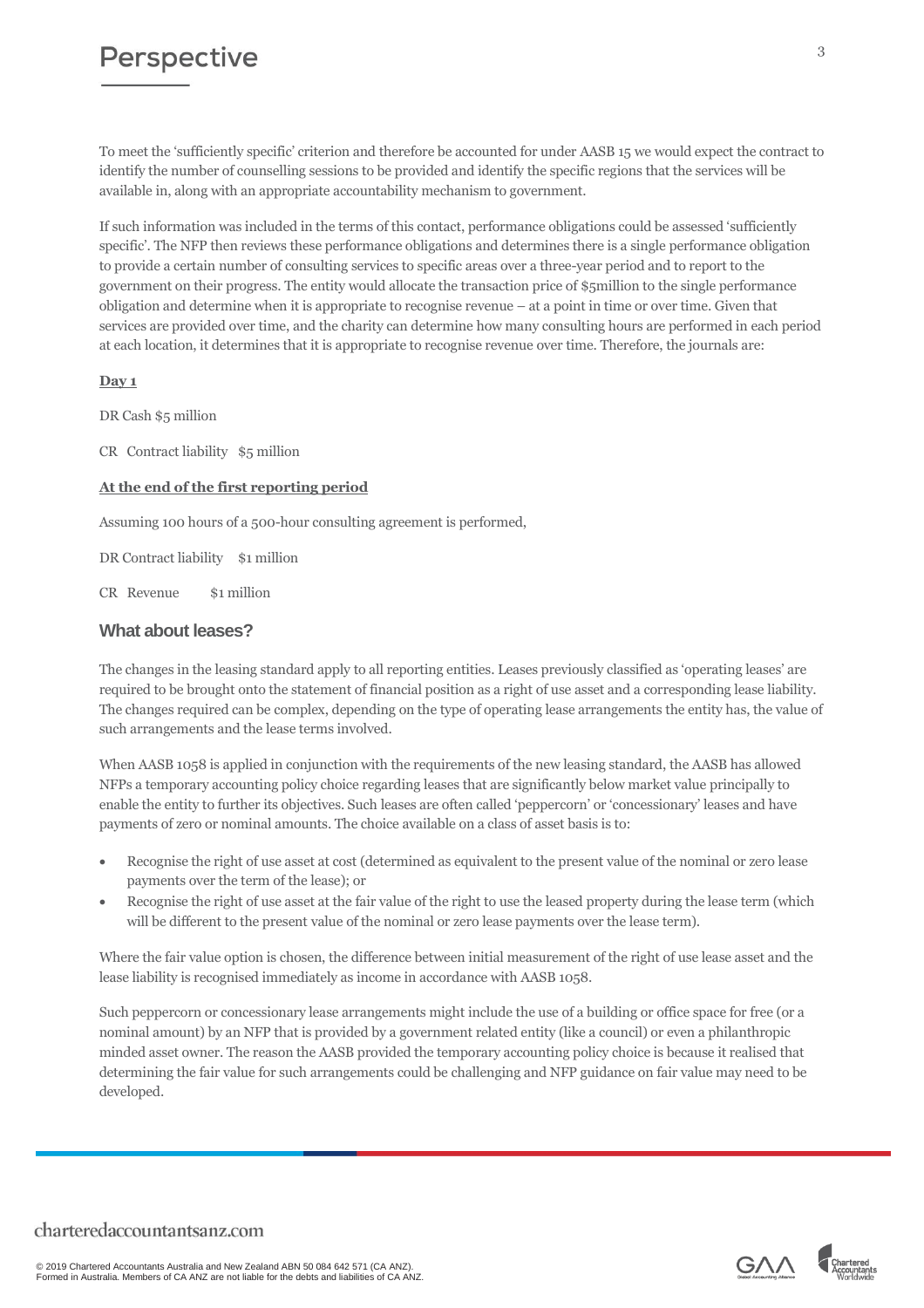To meet the 'sufficiently specific' criterion and therefore be accounted for under AASB 15 we would expect the contract to identify the number of counselling sessions to be provided and identify the specific regions that the services will be available in, along with an appropriate accountability mechanism to government.

If such information was included in the terms of this contact, performance obligations could be assessed 'sufficiently specific'. The NFP then reviews these performance obligations and determines there is a single performance obligation to provide a certain number of consulting services to specific areas over a three-year period and to report to the government on their progress. The entity would allocate the transaction price of \$5million to the single performance obligation and determine when it is appropriate to recognise revenue – at a point in time or over time. Given that services are provided over time, and the charity can determine how many consulting hours are performed in each period at each location, it determines that it is appropriate to recognise revenue over time. Therefore, the journals are:

#### **Day 1**

DR Cash \$5 million

CR Contract liability \$5 million

#### **At the end of the first reporting period**

Assuming 100 hours of a 500-hour consulting agreement is performed,

DR Contract liability \$1 million

CR Revenue \$1 million

#### **What about leases?**

The changes in the leasing standard apply to all reporting entities. Leases previously classified as 'operating leases' are required to be brought onto the statement of financial position as a right of use asset and a corresponding lease liability. The changes required can be complex, depending on the type of operating lease arrangements the entity has, the value of such arrangements and the lease terms involved.

When AASB 1058 is applied in conjunction with the requirements of the new leasing standard, the AASB has allowed NFPs a temporary accounting policy choice regarding leases that are significantly below market value principally to enable the entity to further its objectives. Such leases are often called 'peppercorn' or 'concessionary' leases and have payments of zero or nominal amounts. The choice available on a class of asset basis is to:

- Recognise the right of use asset at cost (determined as equivalent to the present value of the nominal or zero lease payments over the term of the lease); or
- Recognise the right of use asset at the fair value of the right to use the leased property during the lease term (which will be different to the present value of the nominal or zero lease payments over the lease term).

Where the fair value option is chosen, the difference between initial measurement of the right of use lease asset and the lease liability is recognised immediately as income in accordance with AASB 1058.

Such peppercorn or concessionary lease arrangements might include the use of a building or office space for free (or a nominal amount) by an NFP that is provided by a government related entity (like a council) or even a philanthropic minded asset owner. The reason the AASB provided the temporary accounting policy choice is because it realised that determining the fair value for such arrangements could be challenging and NFP guidance on fair value may need to be developed.